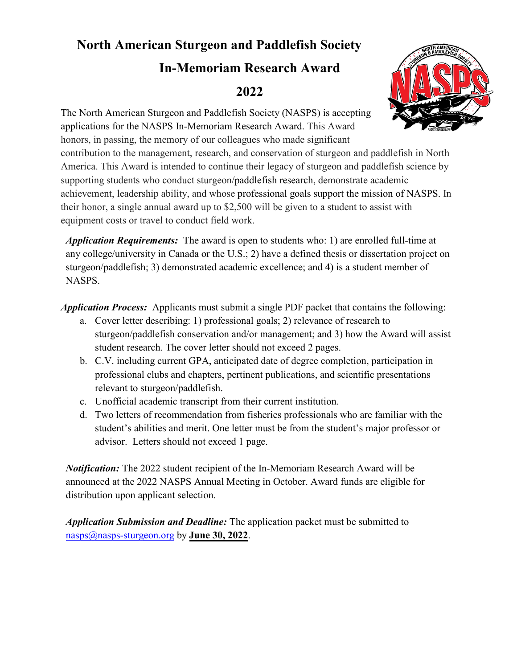## **North American Sturgeon and Paddlefish Society**

## **In-Memoriam Research Award 2022**



The North American Sturgeon and Paddlefish Society (NASPS) is accepting applications for the NASPS In-Memoriam Research Award. This Award honors, in passing, the memory of our colleagues who made significant contribution to the management, research, and conservation of sturgeon and paddlefish in North America. This Award is intended to continue their legacy of sturgeon and paddlefish science by supporting students who conduct sturgeon/paddlefish research, demonstrate academic achievement, leadership ability, and whose professional goals support the mission of NASPS. In their honor, a single annual award up to \$2,500 will be given to a student to assist with equipment costs or travel to conduct field work.

*Application Requirements:* The award is open to students who: 1) are enrolled full-time at any college/university in Canada or the U.S.; 2) have a defined thesis or dissertation project on sturgeon/paddlefish; 3) demonstrated academic excellence; and 4) is a student member of NASPS.

*Application Process:* Applicants must submit a single PDF packet that contains the following:

- a. Cover letter describing: 1) professional goals; 2) relevance of research to sturgeon/paddlefish conservation and/or management; and 3) how the Award will assist student research. The cover letter should not exceed 2 pages.
- b. C.V. including current GPA, anticipated date of degree completion, participation in professional clubs and chapters, pertinent publications, and scientific presentations relevant to sturgeon/paddlefish.
- c. Unofficial academic transcript from their current institution.
- d. Two letters of recommendation from fisheries professionals who are familiar with the student's abilities and merit. One letter must be from the student's major professor or advisor. Letters should not exceed 1 page.

*Notification:* The 2022 student recipient of the In-Memoriam Research Award will be announced at the 2022 NASPS Annual Meeting in October. Award funds are eligible for distribution upon applicant selection.

*Application Submission and Deadline:* The application packet must be submitted to [nasps@nasps-sturgeon.org](mailto:nasps@nasps-sturgeon.org) by **June 30, 2022**.